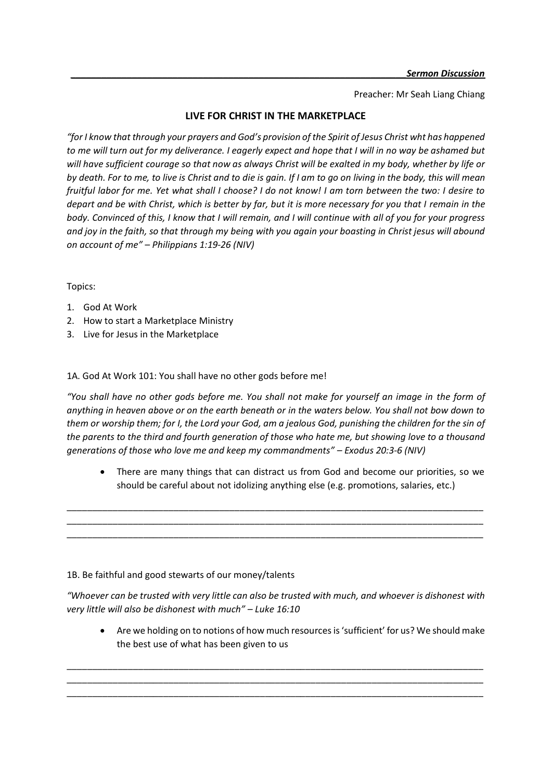Preacher: Mr Seah Liang Chiang

## **LIVE FOR CHRIST IN THE MARKETPLACE**

*"for I know that through your prayers and God's provision of the Spirit of Jesus Christ wht has happened to me will turn out for my deliverance. I eagerly expect and hope that I will in no way be ashamed but will have sufficient courage so that now as always Christ will be exalted in my body, whether by life or by death. For to me, to live is Christ and to die is gain. If I am to go on living in the body, this will mean fruitful labor for me. Yet what shall I choose? I do not know! I am torn between the two: I desire to depart and be with Christ, which is better by far, but it is more necessary for you that I remain in the body. Convinced of this, I know that I will remain, and I will continue with all of you for your progress and joy in the faith, so that through my being with you again your boasting in Christ jesus will abound on account of me" – Philippians 1:19-26 (NIV)*

Topics:

- 1. God At Work
- 2. How to start a Marketplace Ministry
- 3. Live for Jesus in the Marketplace

1A. God At Work 101: You shall have no other gods before me!

"You shall have no other gods before me. You shall not make for yourself an image in the form of *anything in heaven above or on the earth beneath or in the waters below. You shall not bow down to them or worship them; for I, the Lord your God, am a jealous God, punishing the children for the sin of the parents to the third and fourth generation of those who hate me, but showing love to a thousand generations of those who love me and keep my commandments" – Exodus 20:3-6 (NIV)*

\_\_\_\_\_\_\_\_\_\_\_\_\_\_\_\_\_\_\_\_\_\_\_\_\_\_\_\_\_\_\_\_\_\_\_\_\_\_\_\_\_\_\_\_\_\_\_\_\_\_\_\_\_\_\_\_\_\_\_\_\_\_\_\_\_\_\_\_\_\_\_\_\_\_\_\_\_\_\_\_\_\_ \_\_\_\_\_\_\_\_\_\_\_\_\_\_\_\_\_\_\_\_\_\_\_\_\_\_\_\_\_\_\_\_\_\_\_\_\_\_\_\_\_\_\_\_\_\_\_\_\_\_\_\_\_\_\_\_\_\_\_\_\_\_\_\_\_\_\_\_\_\_\_\_\_\_\_\_\_\_\_\_\_\_ \_\_\_\_\_\_\_\_\_\_\_\_\_\_\_\_\_\_\_\_\_\_\_\_\_\_\_\_\_\_\_\_\_\_\_\_\_\_\_\_\_\_\_\_\_\_\_\_\_\_\_\_\_\_\_\_\_\_\_\_\_\_\_\_\_\_\_\_\_\_\_\_\_\_\_\_\_\_\_\_\_\_

• There are many things that can distract us from God and become our priorities, so we should be careful about not idolizing anything else (e.g. promotions, salaries, etc.)

1B. Be faithful and good stewarts of our money/talents

*"Whoever can be trusted with very little can also be trusted with much, and whoever is dishonest with very little will also be dishonest with much" – Luke 16:10*

\_\_\_\_\_\_\_\_\_\_\_\_\_\_\_\_\_\_\_\_\_\_\_\_\_\_\_\_\_\_\_\_\_\_\_\_\_\_\_\_\_\_\_\_\_\_\_\_\_\_\_\_\_\_\_\_\_\_\_\_\_\_\_\_\_\_\_\_\_\_\_\_\_\_\_\_\_\_\_\_\_\_ \_\_\_\_\_\_\_\_\_\_\_\_\_\_\_\_\_\_\_\_\_\_\_\_\_\_\_\_\_\_\_\_\_\_\_\_\_\_\_\_\_\_\_\_\_\_\_\_\_\_\_\_\_\_\_\_\_\_\_\_\_\_\_\_\_\_\_\_\_\_\_\_\_\_\_\_\_\_\_\_\_\_ \_\_\_\_\_\_\_\_\_\_\_\_\_\_\_\_\_\_\_\_\_\_\_\_\_\_\_\_\_\_\_\_\_\_\_\_\_\_\_\_\_\_\_\_\_\_\_\_\_\_\_\_\_\_\_\_\_\_\_\_\_\_\_\_\_\_\_\_\_\_\_\_\_\_\_\_\_\_\_\_\_\_

• Are we holding on to notions of how much resources is 'sufficient' for us? We should make the best use of what has been given to us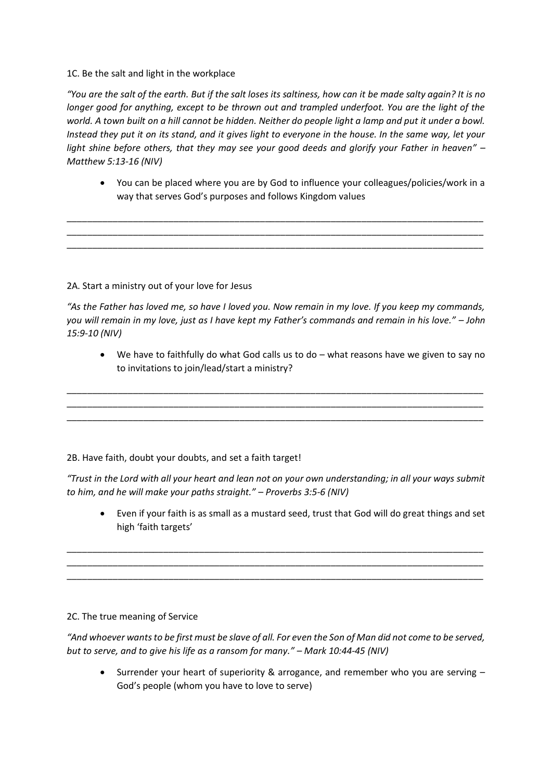1C. Be the salt and light in the workplace

*"You are the salt of the earth. But if the salt loses its saltiness, how can it be made salty again? It is no longer good for anything, except to be thrown out and trampled underfoot. You are the light of the world. A town built on a hill cannot be hidden. Neither do people light a lamp and put it under a bowl. Instead they put it on its stand, and it gives light to everyone in the house. In the same way, let your light shine before others, that they may see your good deeds and glorify your Father in heaven" – Matthew 5:13-16 (NIV)*

\_\_\_\_\_\_\_\_\_\_\_\_\_\_\_\_\_\_\_\_\_\_\_\_\_\_\_\_\_\_\_\_\_\_\_\_\_\_\_\_\_\_\_\_\_\_\_\_\_\_\_\_\_\_\_\_\_\_\_\_\_\_\_\_\_\_\_\_\_\_\_\_\_\_\_\_\_\_\_\_\_\_ \_\_\_\_\_\_\_\_\_\_\_\_\_\_\_\_\_\_\_\_\_\_\_\_\_\_\_\_\_\_\_\_\_\_\_\_\_\_\_\_\_\_\_\_\_\_\_\_\_\_\_\_\_\_\_\_\_\_\_\_\_\_\_\_\_\_\_\_\_\_\_\_\_\_\_\_\_\_\_\_\_\_ \_\_\_\_\_\_\_\_\_\_\_\_\_\_\_\_\_\_\_\_\_\_\_\_\_\_\_\_\_\_\_\_\_\_\_\_\_\_\_\_\_\_\_\_\_\_\_\_\_\_\_\_\_\_\_\_\_\_\_\_\_\_\_\_\_\_\_\_\_\_\_\_\_\_\_\_\_\_\_\_\_\_

• You can be placed where you are by God to influence your colleagues/policies/work in a way that serves God's purposes and follows Kingdom values

## 2A. Start a ministry out of your love for Jesus

*"As the Father has loved me, so have I loved you. Now remain in my love. If you keep my commands, you will remain in my love, just as I have kept my Father's commands and remain in his love." – John 15:9-10 (NIV)*

\_\_\_\_\_\_\_\_\_\_\_\_\_\_\_\_\_\_\_\_\_\_\_\_\_\_\_\_\_\_\_\_\_\_\_\_\_\_\_\_\_\_\_\_\_\_\_\_\_\_\_\_\_\_\_\_\_\_\_\_\_\_\_\_\_\_\_\_\_\_\_\_\_\_\_\_\_\_\_\_\_\_ \_\_\_\_\_\_\_\_\_\_\_\_\_\_\_\_\_\_\_\_\_\_\_\_\_\_\_\_\_\_\_\_\_\_\_\_\_\_\_\_\_\_\_\_\_\_\_\_\_\_\_\_\_\_\_\_\_\_\_\_\_\_\_\_\_\_\_\_\_\_\_\_\_\_\_\_\_\_\_\_\_\_ \_\_\_\_\_\_\_\_\_\_\_\_\_\_\_\_\_\_\_\_\_\_\_\_\_\_\_\_\_\_\_\_\_\_\_\_\_\_\_\_\_\_\_\_\_\_\_\_\_\_\_\_\_\_\_\_\_\_\_\_\_\_\_\_\_\_\_\_\_\_\_\_\_\_\_\_\_\_\_\_\_\_

• We have to faithfully do what God calls us to do – what reasons have we given to say no to invitations to join/lead/start a ministry?

2B. Have faith, doubt your doubts, and set a faith target!

*"Trust in the Lord with all your heart and lean not on your own understanding; in all your ways submit to him, and he will make your paths straight." – Proverbs 3:5-6 (NIV)* 

\_\_\_\_\_\_\_\_\_\_\_\_\_\_\_\_\_\_\_\_\_\_\_\_\_\_\_\_\_\_\_\_\_\_\_\_\_\_\_\_\_\_\_\_\_\_\_\_\_\_\_\_\_\_\_\_\_\_\_\_\_\_\_\_\_\_\_\_\_\_\_\_\_\_\_\_\_\_\_\_\_\_ \_\_\_\_\_\_\_\_\_\_\_\_\_\_\_\_\_\_\_\_\_\_\_\_\_\_\_\_\_\_\_\_\_\_\_\_\_\_\_\_\_\_\_\_\_\_\_\_\_\_\_\_\_\_\_\_\_\_\_\_\_\_\_\_\_\_\_\_\_\_\_\_\_\_\_\_\_\_\_\_\_\_ \_\_\_\_\_\_\_\_\_\_\_\_\_\_\_\_\_\_\_\_\_\_\_\_\_\_\_\_\_\_\_\_\_\_\_\_\_\_\_\_\_\_\_\_\_\_\_\_\_\_\_\_\_\_\_\_\_\_\_\_\_\_\_\_\_\_\_\_\_\_\_\_\_\_\_\_\_\_\_\_\_\_

• Even if your faith is as small as a mustard seed, trust that God will do great things and set high 'faith targets'

## 2C. The true meaning of Service

*"And whoever wants to be first must be slave of all. For even the Son of Man did not come to be served, but to serve, and to give his life as a ransom for many." – Mark 10:44-45 (NIV)*

• Surrender your heart of superiority & arrogance, and remember who you are serving – God's people (whom you have to love to serve)